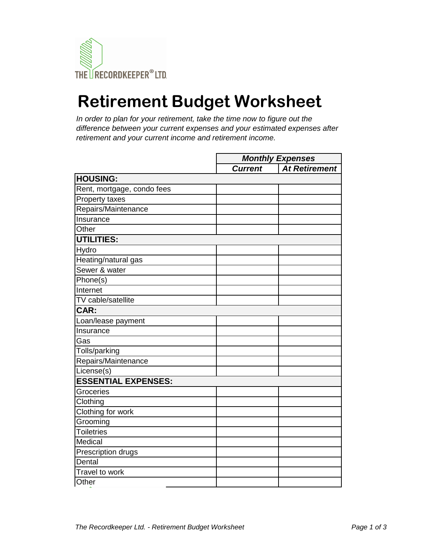

## **Retirement Budget Worksheet**

*In order to plan for your retirement, take the time now to figure out the difference between your current expenses and your estimated expenses after retirement and your current income and retirement income.*

|                            | <b>Monthly Expenses</b> |                      |
|----------------------------|-------------------------|----------------------|
|                            | <b>Current</b>          | <b>At Retirement</b> |
| <b>HOUSING:</b>            |                         |                      |
| Rent, mortgage, condo fees |                         |                      |
| Property taxes             |                         |                      |
| Repairs/Maintenance        |                         |                      |
| Insurance                  |                         |                      |
| Other                      |                         |                      |
| <b>UTILITIES:</b>          |                         |                      |
| Hydro                      |                         |                      |
| Heating/natural gas        |                         |                      |
| Sewer & water              |                         |                      |
| Phone(s)                   |                         |                      |
| Internet                   |                         |                      |
| TV cable/satellite         |                         |                      |
| CAR:                       |                         |                      |
| Loan/lease payment         |                         |                      |
| Insurance                  |                         |                      |
| Gas                        |                         |                      |
| Tolls/parking              |                         |                      |
| Repairs/Maintenance        |                         |                      |
| License(s)                 |                         |                      |
| <b>ESSENTIAL EXPENSES:</b> |                         |                      |
| Groceries                  |                         |                      |
| Clothing                   |                         |                      |
| Clothing for work          |                         |                      |
| Grooming                   |                         |                      |
| <b>Toiletries</b>          |                         |                      |
| Medical                    |                         |                      |
| Prescription drugs         |                         |                      |
| Dental                     |                         |                      |
| Travel to work             |                         |                      |
| Other                      |                         |                      |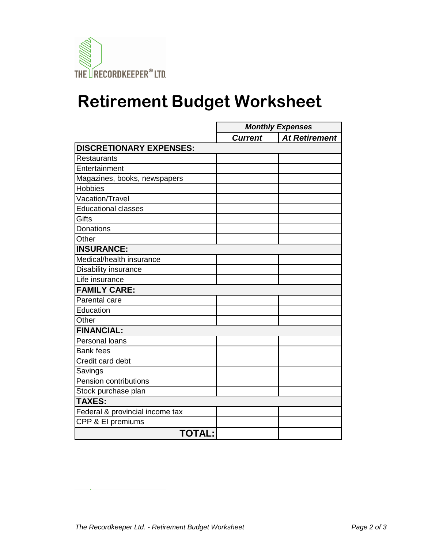

## **Retirement Budget Worksheet**

|                                 | <b>Monthly Expenses</b> |                      |
|---------------------------------|-------------------------|----------------------|
|                                 | <b>Current</b>          | <b>At Retirement</b> |
| <b>DISCRETIONARY EXPENSES:</b>  |                         |                      |
| Restaurants                     |                         |                      |
| Entertainment                   |                         |                      |
| Magazines, books, newspapers    |                         |                      |
| <b>Hobbies</b>                  |                         |                      |
| Vacation/Travel                 |                         |                      |
| <b>Educational classes</b>      |                         |                      |
| Gifts                           |                         |                      |
| Donations                       |                         |                      |
| Other                           |                         |                      |
| <b>INSURANCE:</b>               |                         |                      |
| Medical/health insurance        |                         |                      |
| <b>Disability insurance</b>     |                         |                      |
| Life insurance                  |                         |                      |
| <b>FAMILY CARE:</b>             |                         |                      |
| Parental care                   |                         |                      |
| Education                       |                         |                      |
| Other                           |                         |                      |
| <b>FINANCIAL:</b>               |                         |                      |
| Personal loans                  |                         |                      |
| <b>Bank fees</b>                |                         |                      |
| Credit card debt                |                         |                      |
| Savings                         |                         |                      |
| Pension contributions           |                         |                      |
| Stock purchase plan             |                         |                      |
| <b>TAXES:</b>                   |                         |                      |
| Federal & provincial income tax |                         |                      |
| CPP & El premiums               |                         |                      |
| <b>TOTAL:</b>                   |                         |                      |